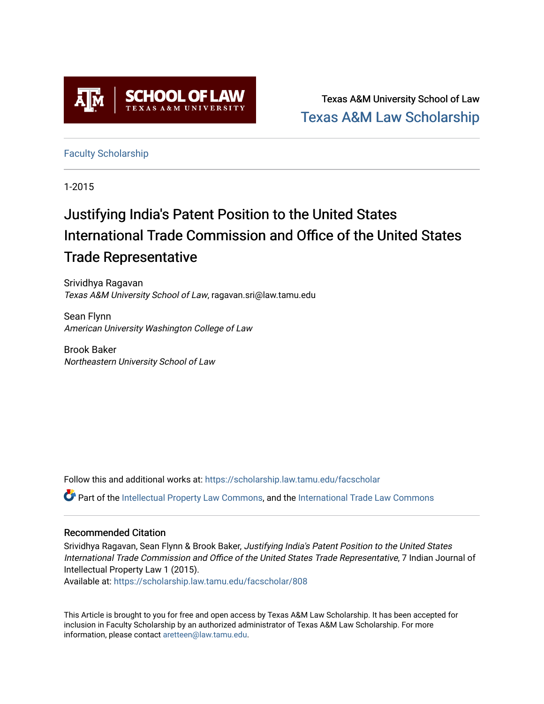

Texas A&M University School of Law [Texas A&M Law Scholarship](https://scholarship.law.tamu.edu/) 

[Faculty Scholarship](https://scholarship.law.tamu.edu/facscholar)

1-2015

# Justifying India's Patent Position to the United States International Trade Commission and Office of the United States Trade Representative

Srividhya Ragavan Texas A&M University School of Law, ragavan.sri@law.tamu.edu

Sean Flynn American University Washington College of Law

Brook Baker Northeastern University School of Law

Follow this and additional works at: [https://scholarship.law.tamu.edu/facscholar](https://scholarship.law.tamu.edu/facscholar?utm_source=scholarship.law.tamu.edu%2Ffacscholar%2F808&utm_medium=PDF&utm_campaign=PDFCoverPages) 

Part of the [Intellectual Property Law Commons,](http://network.bepress.com/hgg/discipline/896?utm_source=scholarship.law.tamu.edu%2Ffacscholar%2F808&utm_medium=PDF&utm_campaign=PDFCoverPages) and the International Trade Law Commons

# Recommended Citation

Srividhya Ragavan, Sean Flynn & Brook Baker, Justifying India's Patent Position to the United States International Trade Commission and Office of the United States Trade Representative, 7 Indian Journal of Intellectual Property Law 1 (2015).

Available at: [https://scholarship.law.tamu.edu/facscholar/808](https://scholarship.law.tamu.edu/facscholar/808?utm_source=scholarship.law.tamu.edu%2Ffacscholar%2F808&utm_medium=PDF&utm_campaign=PDFCoverPages)

This Article is brought to you for free and open access by Texas A&M Law Scholarship. It has been accepted for inclusion in Faculty Scholarship by an authorized administrator of Texas A&M Law Scholarship. For more information, please contact [aretteen@law.tamu.edu](mailto:aretteen@law.tamu.edu).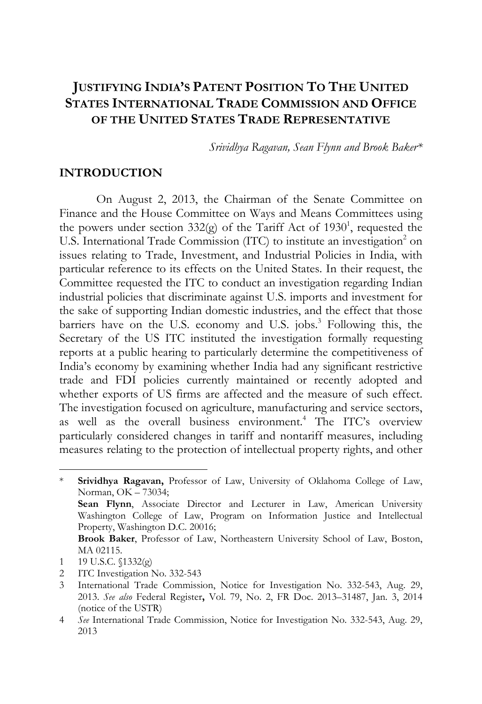# **JUSTIFYING INDIA'S PATENT POSITION TO THE UNITED STATES INTERNATIONAL TRADE COMMISSION AND OFFICE OF THE UNITED STATES TRADE REPRESENTATIVE**

*Srividhya Ragavan, Sean Flynn and Brook Baker\** 

## **INTRODUCTION**

On August 2, 2013, the Chairman of the Senate Committee on Finance and the House Committee on Ways and Means Committees using the powers under section  $332(g)$  of the Tariff Act of  $1930^1$ , requested the U.S. International Trade Commission (ITC) to institute an investigation<sup>2</sup> on issues relating to Trade, Investment, and Industrial Policies in India, with particular reference to its effects on the United States. In their request, the Committee requested the ITC to conduct an investigation regarding Indian industrial policies that discriminate against U.S. imports and investment for the sake of supporting Indian domestic industries, and the effect that those barriers have on the U.S. economy and U.S. jobs.<sup>3</sup> Following this, the Secretary of the US ITC instituted the investigation formally requesting reports at a public hearing to particularly determine the competitiveness of India's economy by examining whether India had any significant restrictive trade and FDI policies currently maintained or recently adopted and whether exports of US firms are affected and the measure of such effect. The investigation focused on agriculture, manufacturing and service sectors, as well as the overall business environment.<sup>4</sup> The ITC's overview particularly considered changes in tariff and nontariff measures, including measures relating to the protection of intellectual property rights, and other

<sup>\*</sup> **Srividhya Ragavan,** Professor of Law, University of Oklahoma College of Law, Norman, OK – 73034;  **Sean Flynn**, Associate Director and Lecturer in Law, American University Washington College of Law, Program on Information Justice and Intellectual Property, Washington D.C. 20016;  **Brook Baker**, Professor of Law, Northeastern University School of Law, Boston, MA 02115.

<sup>1 19</sup> U.S.C. §1332(g)

<sup>2</sup> ITC Investigation No. 332-543

<sup>3</sup> International Trade Commission, Notice for Investigation No. 332-543, Aug. 29, 2013. *See also* Federal Register**,** Vol. 79, No. 2, FR Doc. 2013–31487, Jan. 3, 2014 (notice of the USTR)

<sup>4</sup> *See* International Trade Commission, Notice for Investigation No. 332-543, Aug. 29, 2013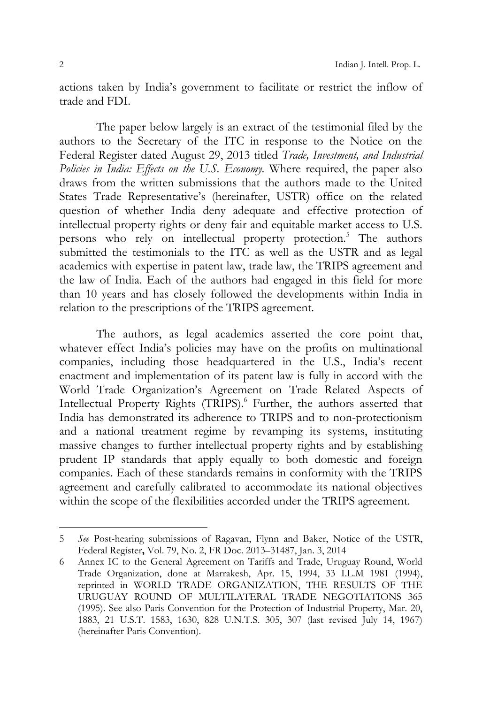actions taken by India's government to facilitate or restrict the inflow of trade and FDI.

The paper below largely is an extract of the testimonial filed by the authors to the Secretary of the ITC in response to the Notice on the Federal Register dated August 29, 2013 titled *Trade, Investment, and Industrial Policies in India: Effects on the U.S. Economy.* Where required, the paper also draws from the written submissions that the authors made to the United States Trade Representative's (hereinafter, USTR) office on the related question of whether India deny adequate and effective protection of intellectual property rights or deny fair and equitable market access to U.S. persons who rely on intellectual property protection.<sup>5</sup> The authors submitted the testimonials to the ITC as well as the USTR and as legal academics with expertise in patent law, trade law, the TRIPS agreement and the law of India. Each of the authors had engaged in this field for more than 10 years and has closely followed the developments within India in relation to the prescriptions of the TRIPS agreement.

The authors, as legal academics asserted the core point that, whatever effect India's policies may have on the profits on multinational companies, including those headquartered in the U.S., India's recent enactment and implementation of its patent law is fully in accord with the World Trade Organization's Agreement on Trade Related Aspects of Intellectual Property Rights (TRIPS).<sup>6</sup> Further, the authors asserted that India has demonstrated its adherence to TRIPS and to non-protectionism and a national treatment regime by revamping its systems, instituting massive changes to further intellectual property rights and by establishing prudent IP standards that apply equally to both domestic and foreign companies. Each of these standards remains in conformity with the TRIPS agreement and carefully calibrated to accommodate its national objectives within the scope of the flexibilities accorded under the TRIPS agreement.

<sup>5</sup> *See* Post-hearing submissions of Ragavan, Flynn and Baker, Notice of the USTR, Federal Register**,** Vol. 79, No. 2, FR Doc. 2013–31487, Jan. 3, 2014

<sup>6</sup> Annex IC to the General Agreement on Tariffs and Trade, Uruguay Round, World Trade Organization, done at Marrakesh, Apr. 15, 1994, 33 I.L.M 1981 (1994), reprinted in WORLD TRADE ORGANIZATION, THE RESULTS OF THE URUGUAY ROUND OF MULTILATERAL TRADE NEGOTIATIONS 365 (1995). See also Paris Convention for the Protection of Industrial Property, Mar. 20, 1883, 21 U.S.T. 1583, 1630, 828 U.N.T.S. 305, 307 (last revised July 14, 1967) (hereinafter Paris Convention).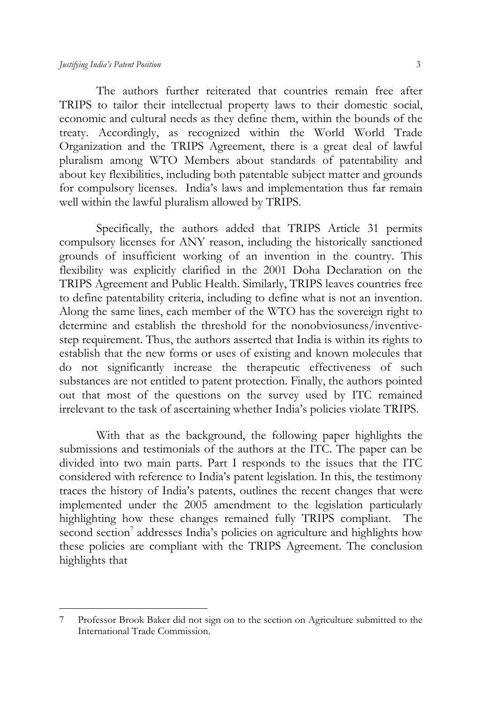$\overline{a}$ 

The authors further reiterated that countries remain free after TRIPS to tailor their intellectual property laws to their domestic social, economic and cultural needs as they define them, within the bounds of the treaty. Accordingly, as recognized within the World World Trade Organization and the TRIPS Agreement, there is a great deal of lawful pluralism among WTO Members about standards of patentability and about key flexibilities, including both patentable subject matter and grounds for compulsory licenses. India's laws and implementation thus far remain well within the lawful pluralism allowed by TRIPS.

Specifically, the authors added that TRIPS Article 31 permits compulsory licenses for ANY reason, including the historically sanctioned grounds of insufficient working of an invention in the country. This flexibility was explicitly clarified in the 2001 Doha Declaration on the TRIPS Agreement and Public Health. Similarly, TRIPS leaves countries free to define patentability criteria, including to define what is not an invention. Along the same lines, each member of the WTO has the sovereign right to determine and establish the threshold for the nonobviosuness/inventivestep requirement. Thus, the authors asserted that India is within its rights to establish that the new forms or uses of existing and known molecules that do not significantly increase the therapeutic effectiveness of such substances are not entitled to patent protection. Finally, the authors pointed out that most of the questions on the survey used by ITC remained irrelevant to the task of ascertaining whether India's policies violate TRIPS.

With that as the background, the following paper highlights the submissions and testimonials of the authors at the ITC. The paper can be divided into two main parts. Part I responds to the issues that the ITC considered with reference to India's patent legislation. In this, the testimony traces the history of India's patents, outlines the recent changes that were implemented under the 2005 amendment to the legislation particularly highlighting how these changes remained fully TRIPS compliant. The second section<sup>7</sup> addresses India's policies on agriculture and highlights how these policies are compliant with the TRIPS Agreement. The conclusion highlights that

<sup>7</sup> Professor Brook Baker did not sign on to the section on Agriculture submitted to the International Trade Commission.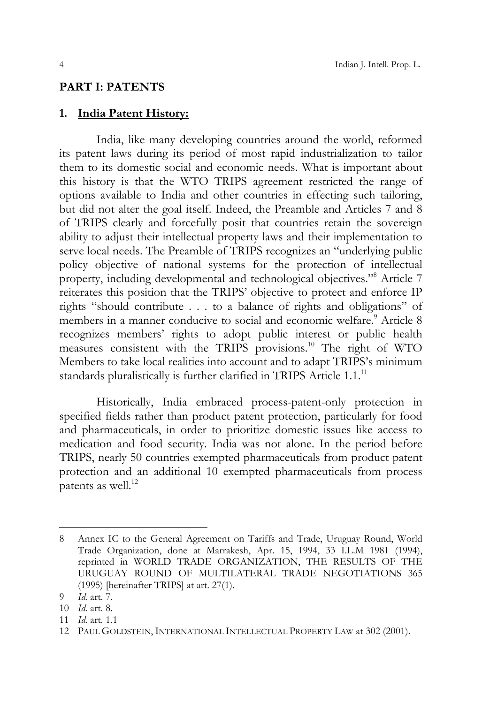#### **PART I: PATENTS**

#### **1. India Patent History:**

 India, like many developing countries around the world, reformed its patent laws during its period of most rapid industrialization to tailor them to its domestic social and economic needs. What is important about this history is that the WTO TRIPS agreement restricted the range of options available to India and other countries in effecting such tailoring, but did not alter the goal itself. Indeed, the Preamble and Articles 7 and 8 of TRIPS clearly and forcefully posit that countries retain the sovereign ability to adjust their intellectual property laws and their implementation to serve local needs. The Preamble of TRIPS recognizes an "underlying public policy objective of national systems for the protection of intellectual property, including developmental and technological objectives."8 Article 7 reiterates this position that the TRIPS' objective to protect and enforce IP rights "should contribute . . . to a balance of rights and obligations" of members in a manner conducive to social and economic welfare.<sup>9</sup> Article 8 recognizes members' rights to adopt public interest or public health measures consistent with the TRIPS provisions.10 The right of WTO Members to take local realities into account and to adapt TRIPS's minimum standards pluralistically is further clarified in TRIPS Article 1.1.<sup>11</sup>

 Historically, India embraced process-patent-only protection in specified fields rather than product patent protection, particularly for food and pharmaceuticals, in order to prioritize domestic issues like access to medication and food security. India was not alone. In the period before TRIPS, nearly 50 countries exempted pharmaceuticals from product patent protection and an additional 10 exempted pharmaceuticals from process patents as well.<sup>12</sup>

<sup>8</sup> Annex IC to the General Agreement on Tariffs and Trade, Uruguay Round, World Trade Organization, done at Marrakesh, Apr. 15, 1994, 33 I.L.M 1981 (1994), reprinted in WORLD TRADE ORGANIZATION, THE RESULTS OF THE URUGUAY ROUND OF MULTILATERAL TRADE NEGOTIATIONS 365 (1995) [hereinafter TRIPS] at art. 27(1).

<sup>9</sup> *Id.* art. 7.

<sup>10</sup> *Id.* art. 8.

<sup>11</sup> *Id.* art. 1.1

<sup>12</sup> PAUL GOLDSTEIN, INTERNATIONAL INTELLECTUAL PROPERTY LAW at 302 (2001).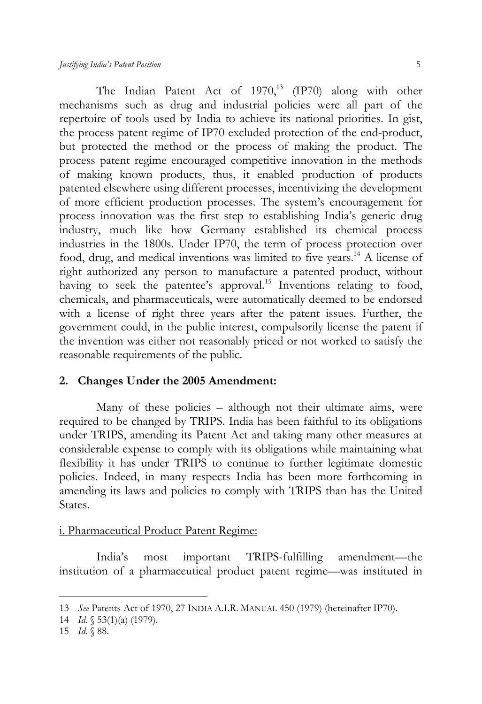The Indian Patent Act of  $1970$ ,<sup>13</sup> (IP70) along with other mechanisms such as drug and industrial policies were all part of the repertoire of tools used by India to achieve its national priorities. In gist, the process patent regime of IP70 excluded protection of the end-product, but protected the method or the process of making the product. The process patent regime encouraged competitive innovation in the methods of making known products, thus, it enabled production of products patented elsewhere using different processes, incentivizing the development of more efficient production processes. The system's encouragement for process innovation was the first step to establishing India's generic drug industry, much like how Germany established its chemical process industries in the 1800s. Under IP70, the term of process protection over food, drug, and medical inventions was limited to five years.14 A license of right authorized any person to manufacture a patented product, without having to seek the patentee's approval.<sup>15</sup> Inventions relating to food, chemicals, and pharmaceuticals, were automatically deemed to be endorsed with a license of right three years after the patent issues. Further, the government could, in the public interest, compulsorily license the patent if the invention was either not reasonably priced or not worked to satisfy the reasonable requirements of the public.

#### **2. Changes Under the 2005 Amendment:**

 Many of these policies – although not their ultimate aims, were required to be changed by TRIPS. India has been faithful to its obligations under TRIPS, amending its Patent Act and taking many other measures at considerable expense to comply with its obligations while maintaining what flexibility it has under TRIPS to continue to further legitimate domestic policies. Indeed, in many respects India has been more forthcoming in amending its laws and policies to comply with TRIPS than has the United States.

#### i. Pharmaceutical Product Patent Regime:

 India's most important TRIPS-fulfilling amendment—the institution of a pharmaceutical product patent regime—was instituted in

<sup>13</sup> *See* Patents Act of 1970, 27 INDIA A.I.R. MANUAL 450 (1979) (hereinafter IP70).

<sup>14</sup> *Id.* § 53(1)(a) (1979).

<sup>15</sup> *Id.* § 88.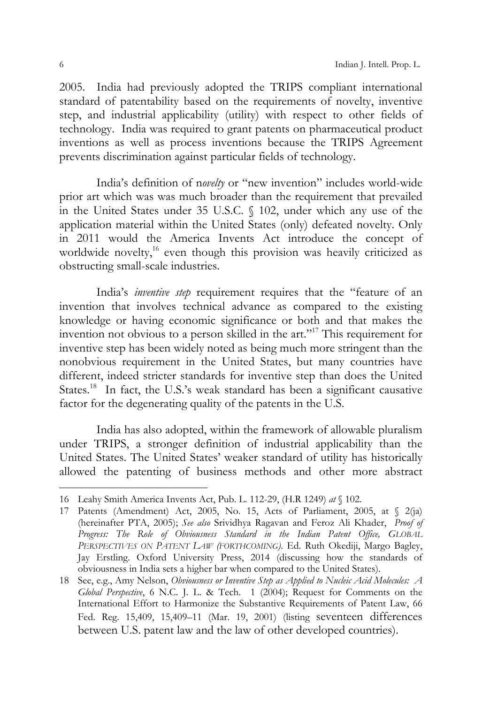2005. India had previously adopted the TRIPS compliant international standard of patentability based on the requirements of novelty, inventive step, and industrial applicability (utility) with respect to other fields of technology. India was required to grant patents on pharmaceutical product inventions as well as process inventions because the TRIPS Agreement prevents discrimination against particular fields of technology.

 India's definition of n*ovelty* or "new invention" includes world-wide prior art which was was much broader than the requirement that prevailed in the United States under 35 U.S.C. § 102, under which any use of the application material within the United States (only) defeated novelty. Only in 2011 would the America Invents Act introduce the concept of worldwide novelty,<sup>16</sup> even though this provision was heavily criticized as obstructing small-scale industries.

 India's *inventive step* requirement requires that the "feature of an invention that involves technical advance as compared to the existing knowledge or having economic significance or both and that makes the invention not obvious to a person skilled in the art."17 This requirement for inventive step has been widely noted as being much more stringent than the nonobvious requirement in the United States, but many countries have different, indeed stricter standards for inventive step than does the United States.<sup>18</sup> In fact, the U.S.'s weak standard has been a significant causative factor for the degenerating quality of the patents in the U.S.

 India has also adopted, within the framework of allowable pluralism under TRIPS, a stronger definition of industrial applicability than the United States. The United States' weaker standard of utility has historically allowed the patenting of business methods and other more abstract

<sup>16</sup> Leahy Smith America Invents Act, Pub. L. 112-29, (H.R 1249) *at* § 102.

<sup>17</sup> Patents (Amendment) Act, 2005, No. 15, Acts of Parliament, 2005, at § 2(ja) (hereinafter PTA, 2005); *See also* Srividhya Ragavan and Feroz Ali Khader, *Proof of Progress: The Role of Obviousness Standard in the Indian Patent Office, GLOBAL PERSPECTIVES ON PATENT LAW (FORTHCOMING)*. Ed. Ruth Okediji, Margo Bagley, Jay Erstling. Oxford University Press, 2014 (discussing how the standards of obviousness in India sets a higher bar when compared to the United States).

<sup>18</sup> See, e.g., Amy Nelson, *Obviousness or Inventive Step as Applied to Nucleic Acid Molecules: A Global Perspective*, 6 N.C. J. L. & Tech. 1 (2004); Request for Comments on the International Effort to Harmonize the Substantive Requirements of Patent Law, 66 Fed. Reg. 15,409, 15,409–11 (Mar. 19, 2001) (listing seventeen differences between U.S. patent law and the law of other developed countries).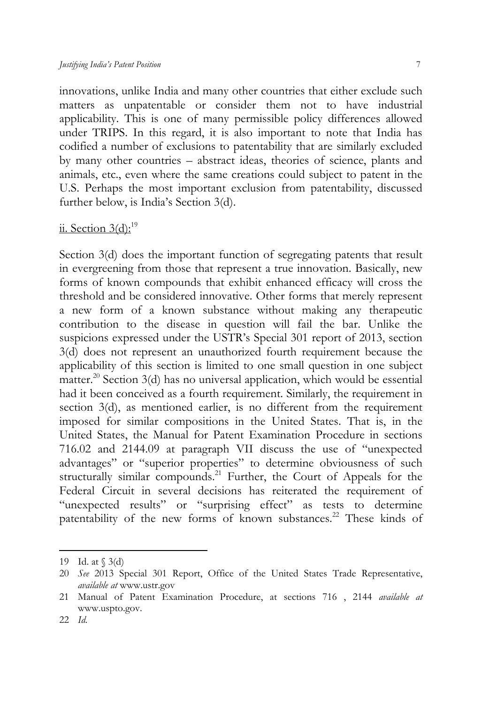innovations, unlike India and many other countries that either exclude such matters as unpatentable or consider them not to have industrial applicability. This is one of many permissible policy differences allowed under TRIPS. In this regard, it is also important to note that India has codified a number of exclusions to patentability that are similarly excluded by many other countries – abstract ideas, theories of science, plants and animals, etc., even where the same creations could subject to patent in the U.S. Perhaps the most important exclusion from patentability, discussed further below, is India's Section 3(d).

# ii. Section  $3(d)$ :<sup>19</sup>

Section 3(d) does the important function of segregating patents that result in evergreening from those that represent a true innovation. Basically, new forms of known compounds that exhibit enhanced efficacy will cross the threshold and be considered innovative. Other forms that merely represent a new form of a known substance without making any therapeutic contribution to the disease in question will fail the bar. Unlike the suspicions expressed under the USTR's Special 301 report of 2013, section 3(d) does not represent an unauthorized fourth requirement because the applicability of this section is limited to one small question in one subject matter.<sup>20</sup> Section  $3(d)$  has no universal application, which would be essential had it been conceived as a fourth requirement. Similarly, the requirement in section 3(d), as mentioned earlier, is no different from the requirement imposed for similar compositions in the United States. That is, in the United States, the Manual for Patent Examination Procedure in sections 716.02 and 2144.09 at paragraph VII discuss the use of "unexpected advantages" or "superior properties" to determine obviousness of such structurally similar compounds.<sup>21</sup> Further, the Court of Appeals for the Federal Circuit in several decisions has reiterated the requirement of "unexpected results" or "surprising effect" as tests to determine patentability of the new forms of known substances.<sup>22</sup> These kinds of

<sup>19</sup> Id. at § 3(d)

<sup>20</sup> *See* 2013 Special 301 Report, Office of the United States Trade Representative, *available at* www.ustr.gov

<sup>21</sup> Manual of Patent Examination Procedure, at sections 716 , 2144 *available at*  www.uspto.gov.

<sup>22</sup> *Id.*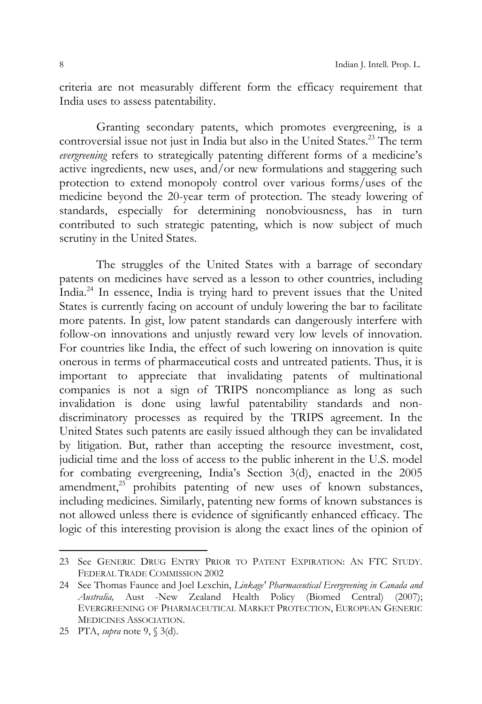criteria are not measurably different form the efficacy requirement that India uses to assess patentability.

 Granting secondary patents, which promotes evergreening, is a controversial issue not just in India but also in the United States.<sup>23</sup> The term *evergreening* refers to strategically patenting different forms of a medicine's active ingredients, new uses, and/or new formulations and staggering such protection to extend monopoly control over various forms/uses of the medicine beyond the 20-year term of protection. The steady lowering of standards, especially for determining nonobviousness, has in turn contributed to such strategic patenting, which is now subject of much scrutiny in the United States.

 The struggles of the United States with a barrage of secondary patents on medicines have served as a lesson to other countries, including India.24 In essence, India is trying hard to prevent issues that the United States is currently facing on account of unduly lowering the bar to facilitate more patents. In gist, low patent standards can dangerously interfere with follow-on innovations and unjustly reward very low levels of innovation. For countries like India, the effect of such lowering on innovation is quite onerous in terms of pharmaceutical costs and untreated patients. Thus, it is important to appreciate that invalidating patents of multinational companies is not a sign of TRIPS noncompliance as long as such invalidation is done using lawful patentability standards and nondiscriminatory processes as required by the TRIPS agreement. In the United States such patents are easily issued although they can be invalidated by litigation. But, rather than accepting the resource investment, cost, judicial time and the loss of access to the public inherent in the U.S. model for combating evergreening, India's Section 3(d), enacted in the 2005 amendment,<sup>25</sup> prohibits patenting of new uses of known substances, including medicines. Similarly, patenting new forms of known substances is not allowed unless there is evidence of significantly enhanced efficacy. The logic of this interesting provision is along the exact lines of the opinion of

<sup>23</sup> See GENERIC DRUG ENTRY PRIOR TO PATENT EXPIRATION: AN FTC STUDY. FEDERAL TRADE COMMISSION 2002

<sup>24</sup> See Thomas Faunce and Joel Lexchin, *Linkage' Pharmaceutical Evergreening in Canada and Australia,* Aust -New Zealand Health Policy (Biomed Central) (2007); EVERGREENING OF PHARMACEUTICAL MARKET PROTECTION, EUROPEAN GENERIC MEDICINES ASSOCIATION.

<sup>25</sup> PTA, *supra* note 9, § 3(d).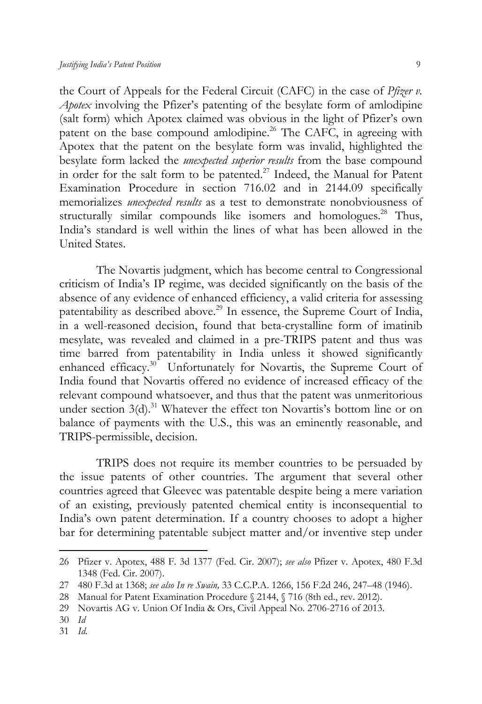the Court of Appeals for the Federal Circuit (CAFC) in the case of *Pfizer v. Apotex* involving the Pfizer's patenting of the besylate form of amlodipine (salt form) which Apotex claimed was obvious in the light of Pfizer's own patent on the base compound amlodipine.<sup>26</sup> The CAFC, in agreeing with Apotex that the patent on the besylate form was invalid, highlighted the besylate form lacked the *unexpected superior results* from the base compound in order for the salt form to be patented.<sup>27</sup> Indeed, the Manual for Patent Examination Procedure in section 716.02 and in 2144.09 specifically memorializes *unexpected results* as a test to demonstrate nonobviousness of structurally similar compounds like isomers and homologues.<sup>28</sup> Thus, India's standard is well within the lines of what has been allowed in the United States.

 The Novartis judgment, which has become central to Congressional criticism of India's IP regime, was decided significantly on the basis of the absence of any evidence of enhanced efficiency, a valid criteria for assessing patentability as described above.<sup>29</sup> In essence, the Supreme Court of India, in a well-reasoned decision, found that beta-crystalline form of imatinib mesylate, was revealed and claimed in a pre-TRIPS patent and thus was time barred from patentability in India unless it showed significantly enhanced efficacy.<sup>30</sup> Unfortunately for Novartis, the Supreme Court of India found that Novartis offered no evidence of increased efficacy of the relevant compound whatsoever, and thus that the patent was unmeritorious under section  $3(d)$ .<sup>31</sup> Whatever the effect ton Novartis's bottom line or on balance of payments with the U.S., this was an eminently reasonable, and TRIPS-permissible, decision.

 TRIPS does not require its member countries to be persuaded by the issue patents of other countries. The argument that several other countries agreed that Gleevec was patentable despite being a mere variation of an existing, previously patented chemical entity is inconsequential to India's own patent determination. If a country chooses to adopt a higher bar for determining patentable subject matter and/or inventive step under

 $\overline{a}$ 

31 *Id.*

<sup>26</sup> Pfizer v. Apotex, 488 F. 3d 1377 (Fed. Cir. 2007); *see also* Pfizer v. Apotex, 480 F.3d 1348 (Fed. Cir. 2007).

<sup>27 480</sup> F.3d at 1368; *see also In re Swain,* 33 C.C.P.A. 1266, 156 F.2d 246, 247–48 (1946).

<sup>28</sup> Manual for Patent Examination Procedure § 2144, § 716 (8th ed., rev. 2012).

<sup>29</sup> Novartis AG v. Union Of India & Ors, Civil Appeal No. 2706-2716 of 2013.

<sup>30</sup> *Id*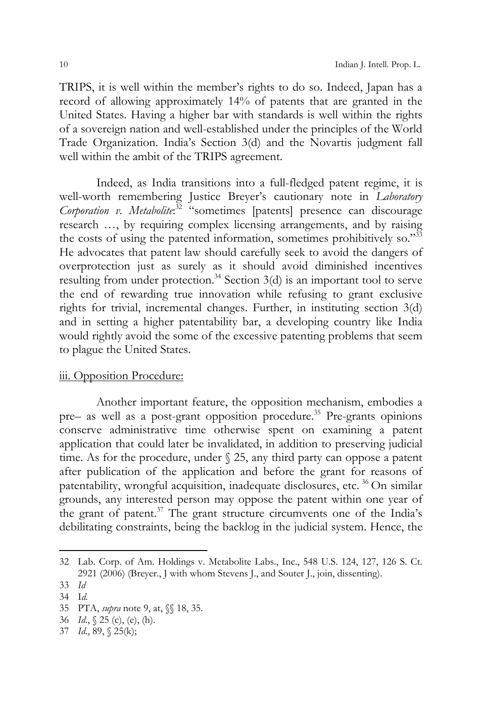TRIPS, it is well within the member's rights to do so. Indeed, Japan has a record of allowing approximately 14% of patents that are granted in the United States. Having a higher bar with standards is well within the rights of a sovereign nation and well-established under the principles of the World Trade Organization. India's Section 3(d) and the Novartis judgment fall well within the ambit of the TRIPS agreement.

 Indeed, as India transitions into a full-fledged patent regime, it is well-worth remembering Justice Breyer's cautionary note in *Laboratory Corporation v. Metabolite*: 32 "sometimes [patents] presence can discourage research …, by requiring complex licensing arrangements, and by raising the costs of using the patented information, sometimes prohibitively so."<sup>33</sup> He advocates that patent law should carefully seek to avoid the dangers of overprotection just as surely as it should avoid diminished incentives resulting from under protection.<sup>34</sup> Section  $3(d)$  is an important tool to serve the end of rewarding true innovation while refusing to grant exclusive rights for trivial, incremental changes. Further, in instituting section 3(d) and in setting a higher patentability bar, a developing country like India would rightly avoid the some of the excessive patenting problems that seem to plague the United States.

#### iii. Opposition Procedure:

 Another important feature, the opposition mechanism, embodies a pre– as well as a post-grant opposition procedure.<sup>35</sup> Pre-grants opinions conserve administrative time otherwise spent on examining a patent application that could later be invalidated, in addition to preserving judicial time. As for the procedure, under § 25, any third party can oppose a patent after publication of the application and before the grant for reasons of patentability, wrongful acquisition, inadequate disclosures, etc.<sup>36</sup> On similar grounds, any interested person may oppose the patent within one year of the grant of patent.37 The grant structure circumvents one of the India's debilitating constraints, being the backlog in the judicial system. Hence, the

<sup>32</sup> Lab. Corp. of Am. Holdings v. Metabolite Labs., Inc., 548 U.S. 124, 127, 126 S. Ct. 2921 (2006) (Breyer., J with whom Stevens J., and Souter J., join, dissenting).

<sup>33</sup> *Id*

<sup>34</sup> I*d.*

<sup>35</sup> PTA, *supra* note 9, at, §§ 18, 35.

<sup>36</sup> *Id.*, § 25 (c), (e), (h).

<sup>37</sup> *Id.*, 89, § 25(k);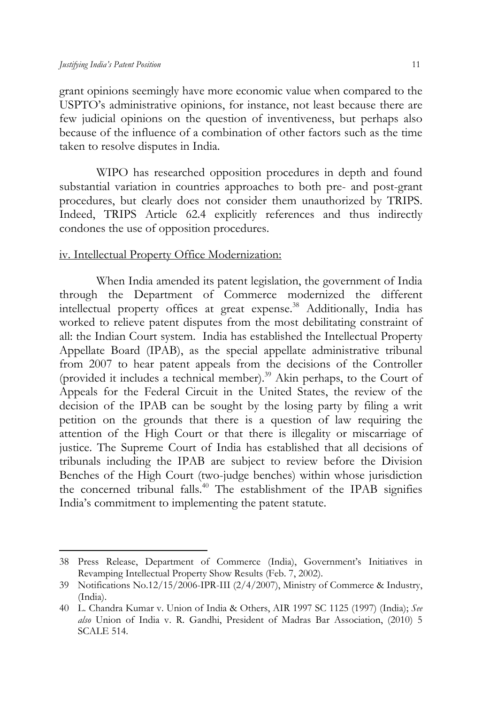$\overline{a}$ 

grant opinions seemingly have more economic value when compared to the USPTO's administrative opinions, for instance, not least because there are few judicial opinions on the question of inventiveness, but perhaps also because of the influence of a combination of other factors such as the time taken to resolve disputes in India.

 WIPO has researched opposition procedures in depth and found substantial variation in countries approaches to both pre- and post-grant procedures, but clearly does not consider them unauthorized by TRIPS. Indeed, TRIPS Article 62.4 explicitly references and thus indirectly condones the use of opposition procedures.

#### iv. Intellectual Property Office Modernization:

 When India amended its patent legislation, the government of India through the Department of Commerce modernized the different intellectual property offices at great expense.<sup>38</sup> Additionally, India has worked to relieve patent disputes from the most debilitating constraint of all: the Indian Court system. India has established the Intellectual Property Appellate Board (IPAB), as the special appellate administrative tribunal from 2007 to hear patent appeals from the decisions of the Controller (provided it includes a technical member).<sup>39</sup> Akin perhaps, to the Court of Appeals for the Federal Circuit in the United States, the review of the decision of the IPAB can be sought by the losing party by filing a writ petition on the grounds that there is a question of law requiring the attention of the High Court or that there is illegality or miscarriage of justice. The Supreme Court of India has established that all decisions of tribunals including the IPAB are subject to review before the Division Benches of the High Court (two-judge benches) within whose jurisdiction the concerned tribunal falls.40 The establishment of the IPAB signifies India's commitment to implementing the patent statute.

<sup>38</sup> Press Release, Department of Commerce (India), Government's Initiatives in Revamping Intellectual Property Show Results (Feb. 7, 2002).

<sup>39</sup> Notifications No.12/15/2006-IPR-III (2/4/2007), Ministry of Commerce & Industry, (India).

<sup>40</sup> L. Chandra Kumar v. Union of India & Others, AIR 1997 SC 1125 (1997) (India); *See also* Union of India v. R. Gandhi, President of Madras Bar Association, (2010) 5 SCALE 514.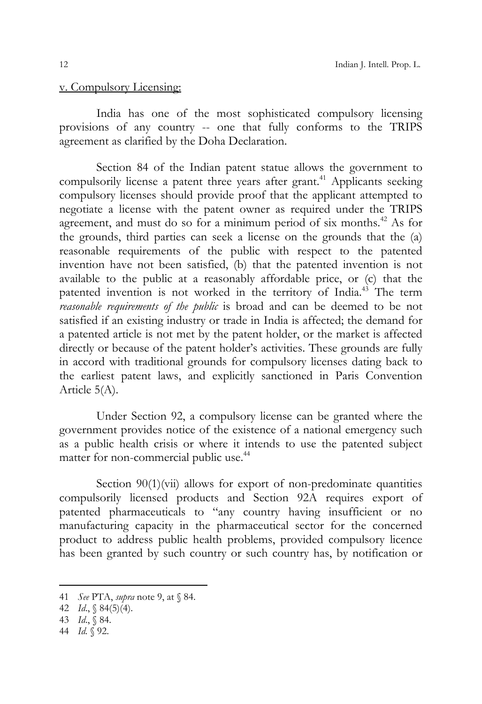#### v. Compulsory Licensing:

 India has one of the most sophisticated compulsory licensing provisions of any country -- one that fully conforms to the TRIPS agreement as clarified by the Doha Declaration.

 Section 84 of the Indian patent statue allows the government to compulsorily license a patent three years after grant.<sup>41</sup> Applicants seeking compulsory licenses should provide proof that the applicant attempted to negotiate a license with the patent owner as required under the TRIPS agreement, and must do so for a minimum period of six months.<sup>42</sup> As for the grounds, third parties can seek a license on the grounds that the (a) reasonable requirements of the public with respect to the patented invention have not been satisfied, (b) that the patented invention is not available to the public at a reasonably affordable price, or (c) that the patented invention is not worked in the territory of India.<sup>43</sup> The term *reasonable requirements of the public* is broad and can be deemed to be not satisfied if an existing industry or trade in India is affected; the demand for a patented article is not met by the patent holder, or the market is affected directly or because of the patent holder's activities. These grounds are fully in accord with traditional grounds for compulsory licenses dating back to the earliest patent laws, and explicitly sanctioned in Paris Convention Article 5(A).

 Under Section 92, a compulsory license can be granted where the government provides notice of the existence of a national emergency such as a public health crisis or where it intends to use the patented subject matter for non-commercial public use.<sup>44</sup>

Section 90(1)(vii) allows for export of non-predominate quantities compulsorily licensed products and Section 92A requires export of patented pharmaceuticals to "any country having insufficient or no manufacturing capacity in the pharmaceutical sector for the concerned product to address public health problems, provided compulsory licence has been granted by such country or such country has, by notification or

<sup>41</sup> *See* PTA, *supra* note 9, at § 84.

<sup>42</sup> *Id*., § 84(5)(4).

<sup>43</sup> *Id*., § 84.

<sup>44</sup> *Id.* § 92.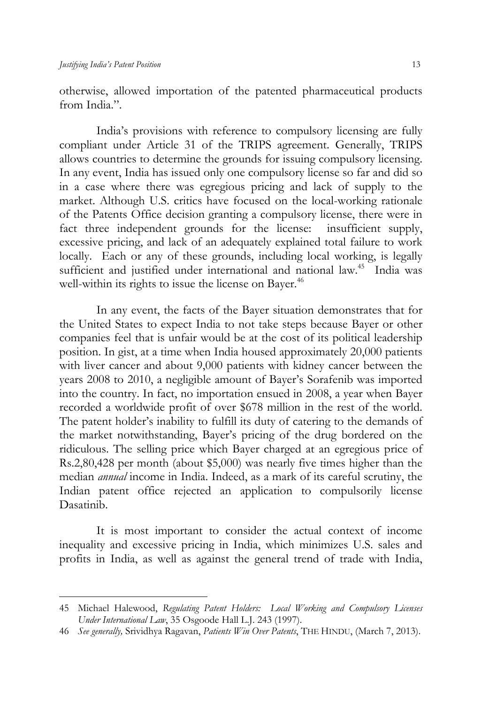$\overline{a}$ 

otherwise, allowed importation of the patented pharmaceutical products from India"

 India's provisions with reference to compulsory licensing are fully compliant under Article 31 of the TRIPS agreement. Generally, TRIPS allows countries to determine the grounds for issuing compulsory licensing. In any event, India has issued only one compulsory license so far and did so in a case where there was egregious pricing and lack of supply to the market. Although U.S. critics have focused on the local-working rationale of the Patents Office decision granting a compulsory license, there were in fact three independent grounds for the license: insufficient supply, excessive pricing, and lack of an adequately explained total failure to work locally. Each or any of these grounds, including local working, is legally sufficient and justified under international and national law.<sup>45</sup> India was well-within its rights to issue the license on Bayer.<sup>46</sup>

 In any event, the facts of the Bayer situation demonstrates that for the United States to expect India to not take steps because Bayer or other companies feel that is unfair would be at the cost of its political leadership position. In gist, at a time when India housed approximately 20,000 patients with liver cancer and about 9,000 patients with kidney cancer between the years 2008 to 2010, a negligible amount of Bayer's Sorafenib was imported into the country. In fact, no importation ensued in 2008, a year when Bayer recorded a worldwide profit of over \$678 million in the rest of the world. The patent holder's inability to fulfill its duty of catering to the demands of the market notwithstanding, Bayer's pricing of the drug bordered on the ridiculous. The selling price which Bayer charged at an egregious price of Rs.2,80,428 per month (about \$5,000) was nearly five times higher than the median *annual* income in India. Indeed, as a mark of its careful scrutiny, the Indian patent office rejected an application to compulsorily license Dasatinib.

 It is most important to consider the actual context of income inequality and excessive pricing in India, which minimizes U.S. sales and profits in India, as well as against the general trend of trade with India,

<sup>45</sup> Michael Halewood, *Regulating Patent Holders: Local Working and Compulsory Licenses Under International Law*, 35 Osgoode Hall L.J. 243 (1997).

<sup>46</sup> *See generally,* Srividhya Ragavan, *Patients Win Over Patents*, THE HINDU, (March 7, 2013).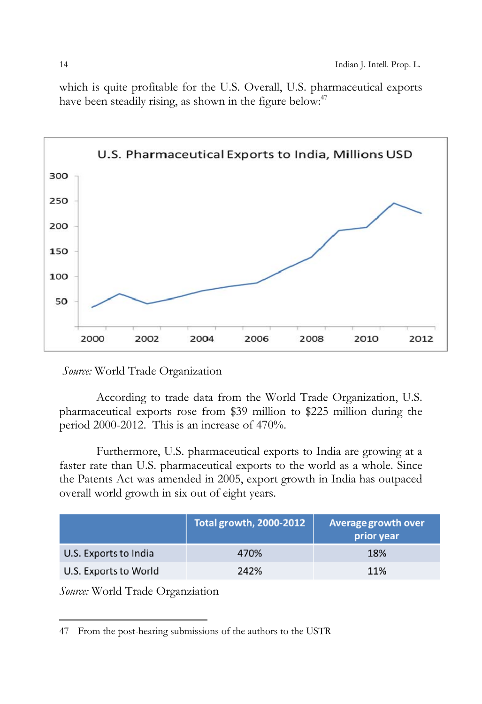which is quite profitable for the U.S. Overall, U.S. pharmaceutical exports have been steadily rising, as shown in the figure below:<sup>47</sup>



*Source:* World Trade Organization

 According to trade data from the World Trade Organization, U.S. pharmaceutical exports rose from \$39 million to \$225 million during the period 2000-2012. This is an increase of 470%.

 Furthermore, U.S. pharmaceutical exports to India are growing at a faster rate than U.S. pharmaceutical exports to the world as a whole. Since the Patents Act was amended in 2005, export growth in India has outpaced overall world growth in six out of eight years.

|                       | Total growth, 2000-2012 | Average growth over<br>prior year |
|-----------------------|-------------------------|-----------------------------------|
| U.S. Exports to India | 470%                    | 18%                               |
| U.S. Exports to World | 242%                    | 11%                               |

*Source:* World Trade Organziation

<sup>47</sup> From the post-hearing submissions of the authors to the USTR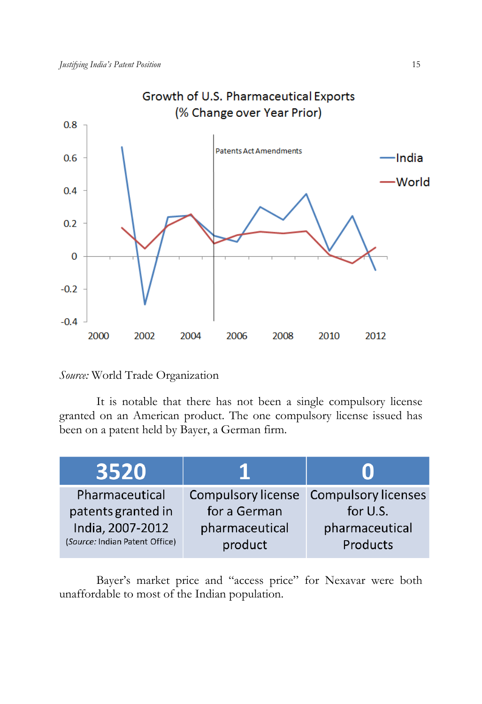

# *Source:* World Trade Organization

 It is notable that there has not been a single compulsory license granted on an American product. The one compulsory license issued has been on a patent held by Bayer, a German firm.

| 3520                           |                |                                        |  |  |
|--------------------------------|----------------|----------------------------------------|--|--|
| Pharmaceutical                 |                | Compulsory license Compulsory licenses |  |  |
| patents granted in             | for a German   | for U.S.                               |  |  |
| India, 2007-2012               | pharmaceutical | pharmaceutical                         |  |  |
| (Source: Indian Patent Office) | product        | Products                               |  |  |

 Bayer's market price and "access price" for Nexavar were both unaffordable to most of the Indian population.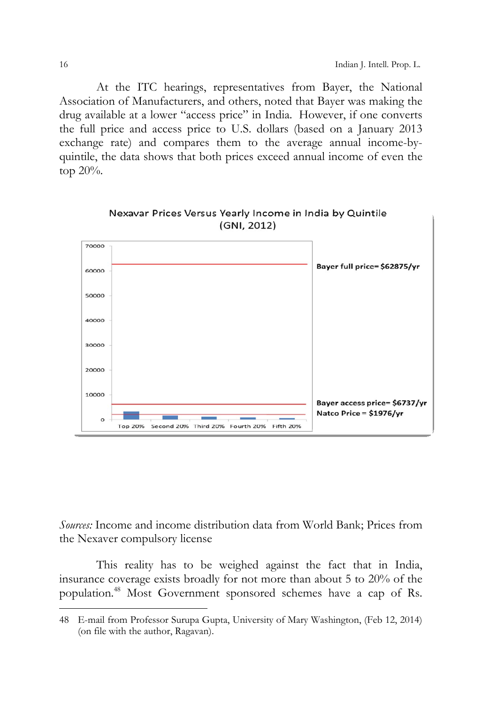At the ITC hearings, representatives from Bayer, the National Association of Manufacturers, and others, noted that Bayer was making the drug available at a lower "access price" in India. However, if one converts the full price and access price to U.S. dollars (based on a January 2013 exchange rate) and compares them to the average annual income-byquintile, the data shows that both prices exceed annual income of even the top 20%.





*Sources:* Income and income distribution data from World Bank; Prices from the Nexaver compulsory license

 This reality has to be weighed against the fact that in India, insurance coverage exists broadly for not more than about 5 to 20% of the population.48 Most Government sponsored schemes have a cap of Rs.

<sup>48</sup> E-mail from Professor Surupa Gupta, University of Mary Washington, (Feb 12, 2014) (on file with the author, Ragavan).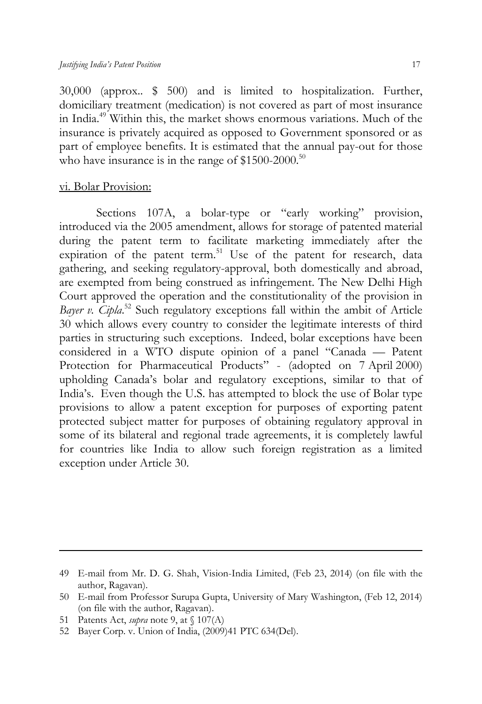30,000 (approx.. \$ 500) and is limited to hospitalization. Further, domiciliary treatment (medication) is not covered as part of most insurance in India.49 Within this, the market shows enormous variations. Much of the insurance is privately acquired as opposed to Government sponsored or as part of employee benefits. It is estimated that the annual pay-out for those who have insurance is in the range of  $$1500-2000$ .<sup>50</sup>

#### vi. Bolar Provision:

Sections 107A, a bolar-type or "early working" provision, introduced via the 2005 amendment, allows for storage of patented material during the patent term to facilitate marketing immediately after the expiration of the patent term.<sup>51</sup> Use of the patent for research, data gathering, and seeking regulatory-approval, both domestically and abroad, are exempted from being construed as infringement. The New Delhi High Court approved the operation and the constitutionality of the provision in Bayer v. Cipla.<sup>52</sup> Such regulatory exceptions fall within the ambit of Article 30 which allows every country to consider the legitimate interests of third parties in structuring such exceptions. Indeed, bolar exceptions have been considered in a WTO dispute opinion of a panel "Canada — Patent Protection for Pharmaceutical Products" - (adopted on 7 April 2000) upholding Canada's bolar and regulatory exceptions, similar to that of India's. Even though the U.S. has attempted to block the use of Bolar type provisions to allow a patent exception for purposes of exporting patent protected subject matter for purposes of obtaining regulatory approval in some of its bilateral and regional trade agreements, it is completely lawful for countries like India to allow such foreign registration as a limited exception under Article 30.

<u>.</u>

<sup>49</sup> E-mail from Mr. D. G. Shah, Vision-India Limited, (Feb 23, 2014) (on file with the author, Ragavan).

<sup>50</sup> E-mail from Professor Surupa Gupta, University of Mary Washington, (Feb 12, 2014) (on file with the author, Ragavan).

<sup>51</sup> Patents Act, *supra* note 9, at § 107(A)

<sup>52</sup> Bayer Corp. v. Union of India, (2009)41 PTC 634(Del).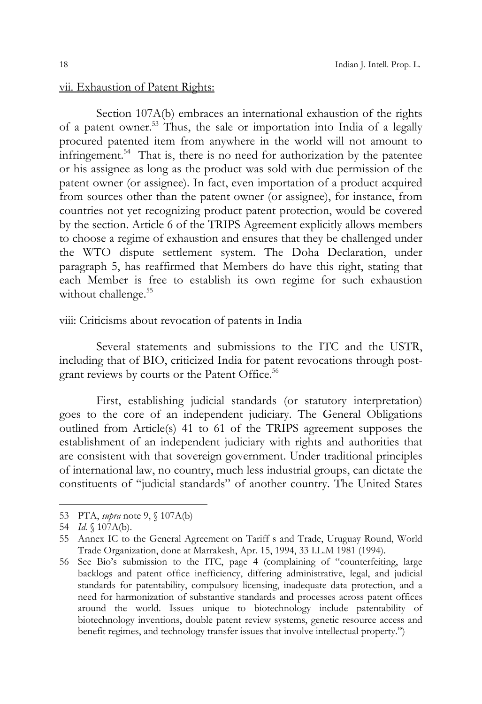# vii. Exhaustion of Patent Rights:

 Section 107A(b) embraces an international exhaustion of the rights of a patent owner.53 Thus, the sale or importation into India of a legally procured patented item from anywhere in the world will not amount to infringement. $54$  That is, there is no need for authorization by the patentee or his assignee as long as the product was sold with due permission of the patent owner (or assignee). In fact, even importation of a product acquired from sources other than the patent owner (or assignee), for instance, from countries not yet recognizing product patent protection, would be covered by the section. Article 6 of the TRIPS Agreement explicitly allows members to choose a regime of exhaustion and ensures that they be challenged under the WTO dispute settlement system. The Doha Declaration, under paragraph 5, has reaffirmed that Members do have this right, stating that each Member is free to establish its own regime for such exhaustion without challenge.<sup>55</sup>

## viii: Criticisms about revocation of patents in India

 Several statements and submissions to the ITC and the USTR, including that of BIO, criticized India for patent revocations through postgrant reviews by courts or the Patent Office.<sup>56</sup>

 First, establishing judicial standards (or statutory interpretation) goes to the core of an independent judiciary. The General Obligations outlined from Article(s) 41 to 61 of the TRIPS agreement supposes the establishment of an independent judiciary with rights and authorities that are consistent with that sovereign government. Under traditional principles of international law, no country, much less industrial groups, can dictate the constituents of "judicial standards" of another country. The United States

<sup>53</sup> PTA, *supra* note 9, § 107A(b)

<sup>54</sup> *Id.* § 107A(b).

<sup>55</sup> Annex IC to the General Agreement on Tariff s and Trade, Uruguay Round, World Trade Organization, done at Marrakesh, Apr. 15, 1994, 33 I.L.M 1981 (1994).

<sup>56</sup> See Bio's submission to the ITC, page 4 (complaining of "counterfeiting, large backlogs and patent office inefficiency, differing administrative, legal, and judicial standards for patentability, compulsory licensing, inadequate data protection, and a need for harmonization of substantive standards and processes across patent offices around the world. Issues unique to biotechnology include patentability of biotechnology inventions, double patent review systems, genetic resource access and benefit regimes, and technology transfer issues that involve intellectual property.")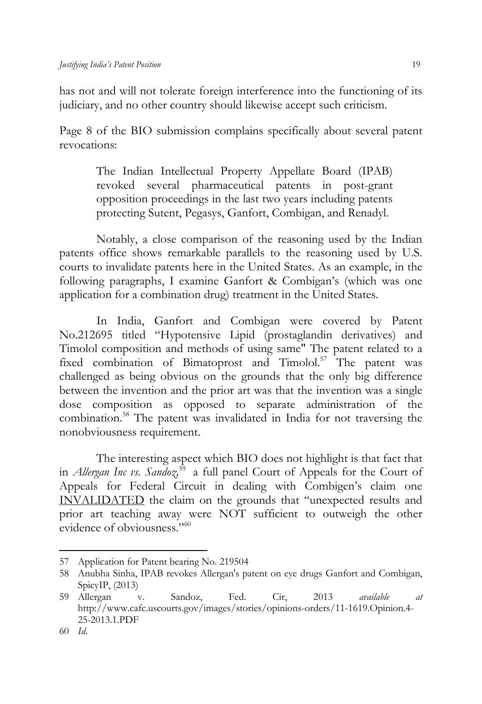has not and will not tolerate foreign interference into the functioning of its judiciary, and no other country should likewise accept such criticism.

Page 8 of the BIO submission complains specifically about several patent revocations:

The Indian Intellectual Property Appellate Board (IPAB) revoked several pharmaceutical patents in post-grant opposition proceedings in the last two years including patents protecting Sutent, Pegasys, Ganfort, Combigan, and Renadyl.

 Notably, a close comparison of the reasoning used by the Indian patents office shows remarkable parallels to the reasoning used by U.S. courts to invalidate patents here in the United States. As an example, in the following paragraphs, I examine Ganfort & Combigan's (which was one application for a combination drug) treatment in the United States.

 In India, Ganfort and Combigan were covered by Patent No.212695 titled "Hypotensive Lipid (prostaglandin derivatives) and Timolol composition and methods of using same" The patent related to a fixed combination of Bimatoprost and Timolol.<sup>57</sup> The patent was challenged as being obvious on the grounds that the only big difference between the invention and the prior art was that the invention was a single dose composition as opposed to separate administration of the combination.58 The patent was invalidated in India for not traversing the nonobviousness requirement.

 The interesting aspect which BIO does not highlight is that fact that in *Allergan Inc vs. Sandoz*<sup>59</sup> a full panel Court of Appeals for the Court of Appeals for Federal Circuit in dealing with Combigen's claim one INVALIDATED the claim on the grounds that "unexpected results and prior art teaching away were NOT sufficient to outweigh the other evidence of obviousness."<sup>60</sup>

<sup>57</sup> Application for Patent bearing No. 219504

<sup>58</sup> Anubha Sinha, IPAB revokes Allergan's patent on eye drugs Ganfort and Combigan, SpicyIP, (2013)

<sup>59</sup> Allergan v. Sandoz, Fed. Cir, 2013 *available at*  http://www.cafc.uscourts.gov/images/stories/opinions-orders/11-1619.Opinion.4- 25-2013.1.PDF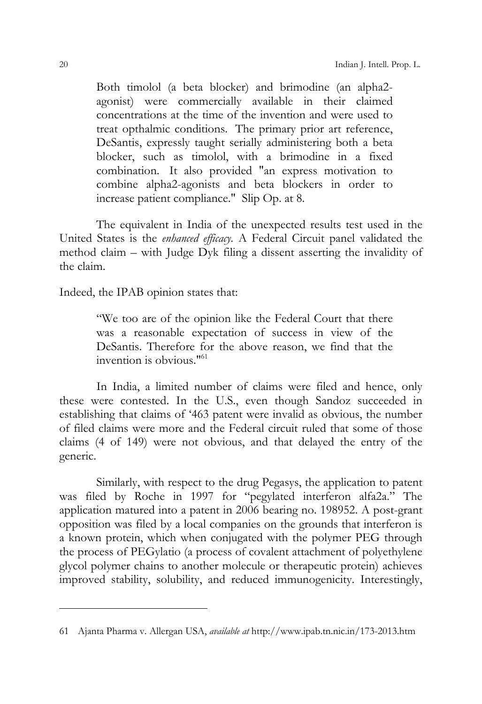Both timolol (a beta blocker) and brimodine (an alpha2 agonist) were commercially available in their claimed concentrations at the time of the invention and were used to treat opthalmic conditions. The primary prior art reference, DeSantis, expressly taught serially administering both a beta blocker, such as timolol, with a brimodine in a fixed combination. It also provided "an express motivation to combine alpha2-agonists and beta blockers in order to increase patient compliance." Slip Op. at 8.

The equivalent in India of the unexpected results test used in the United States is the *enhanced efficacy.* A Federal Circuit panel validated the method claim – with Judge Dyk filing a dissent asserting the invalidity of the claim.

Indeed, the IPAB opinion states that:

"We too are of the opinion like the Federal Court that there was a reasonable expectation of success in view of the DeSantis. Therefore for the above reason, we find that the invention is obvious."61

 In India, a limited number of claims were filed and hence, only these were contested. In the U.S., even though Sandoz succeeded in establishing that claims of '463 patent were invalid as obvious, the number of filed claims were more and the Federal circuit ruled that some of those claims (4 of 149) were not obvious, and that delayed the entry of the generic.

 Similarly, with respect to the drug Pegasys, the application to patent was filed by Roche in 1997 for "pegylated interferon alfa2a." The application matured into a patent in 2006 bearing no. 198952. A post-grant opposition was filed by a local companies on the grounds that interferon is a known protein, which when conjugated with the polymer PEG through the process of PEGylatio (a process of covalent attachment of polyethylene glycol polymer chains to another molecule or therapeutic protein) achieves improved stability, solubility, and reduced immunogenicity. Interestingly,

<sup>61</sup> Ajanta Pharma v. Allergan USA, *available at* http://www.ipab.tn.nic.in/173-2013.htm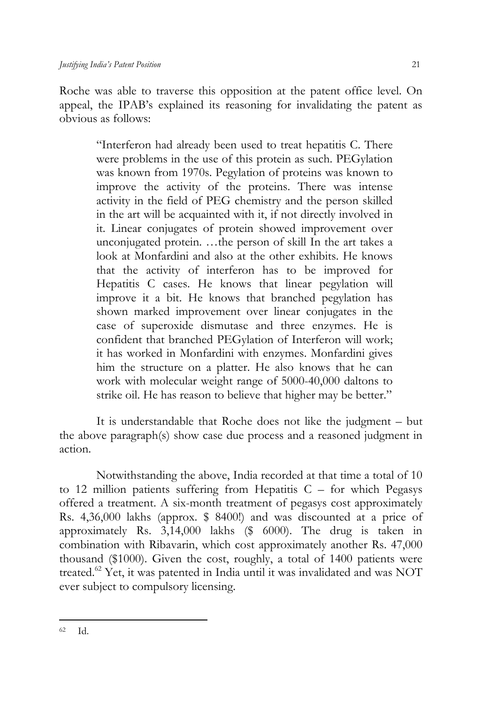Roche was able to traverse this opposition at the patent office level. On appeal, the IPAB's explained its reasoning for invalidating the patent as obvious as follows:

> "Interferon had already been used to treat hepatitis C. There were problems in the use of this protein as such. PEGylation was known from 1970s. Pegylation of proteins was known to improve the activity of the proteins. There was intense activity in the field of PEG chemistry and the person skilled in the art will be acquainted with it, if not directly involved in it. Linear conjugates of protein showed improvement over unconjugated protein. …the person of skill In the art takes a look at Monfardini and also at the other exhibits. He knows that the activity of interferon has to be improved for Hepatitis C cases. He knows that linear pegylation will improve it a bit. He knows that branched pegylation has shown marked improvement over linear conjugates in the case of superoxide dismutase and three enzymes. He is confident that branched PEGylation of Interferon will work; it has worked in Monfardini with enzymes. Monfardini gives him the structure on a platter. He also knows that he can work with molecular weight range of 5000-40,000 daltons to strike oil. He has reason to believe that higher may be better."

 It is understandable that Roche does not like the judgment – but the above paragraph(s) show case due process and a reasoned judgment in action.

 Notwithstanding the above, India recorded at that time a total of 10 to 12 million patients suffering from Hepatitis  $C -$  for which Pegasys offered a treatment. A six-month treatment of pegasys cost approximately Rs. 4,36,000 lakhs (approx. \$ 8400!) and was discounted at a price of approximately Rs. 3,14,000 lakhs (\$ 6000). The drug is taken in combination with Ribavarin, which cost approximately another Rs. 47,000 thousand (\$1000). Given the cost, roughly, a total of 1400 patients were treated.62 Yet, it was patented in India until it was invalidated and was NOT ever subject to compulsory licensing.

 $\overline{a}$ 62 Id.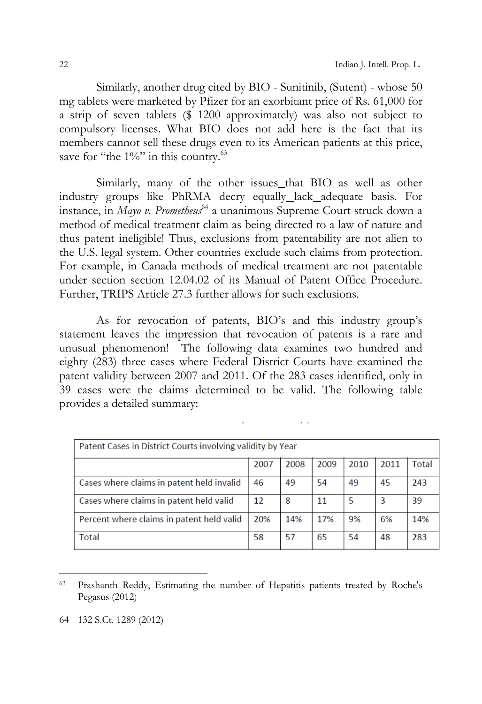Similarly, another drug cited by BIO - Sunitinib, (Sutent) - whose 50 mg tablets were marketed by Pfizer for an exorbitant price of Rs. 61,000 for a strip of seven tablets (\$ 1200 approximately) was also not subject to compulsory licenses. What BIO does not add here is the fact that its members cannot sell these drugs even to its American patients at this price, save for "the  $1\%$ " in this country.<sup>63</sup>

Similarly, many of the other issues that BIO as well as other industry groups like PhRMA decry equally lack adequate basis. For instance, in *Mayo v. Prometheus*64 a unanimous Supreme Court struck down a method of medical treatment claim as being directed to a law of nature and thus patent ineligible! Thus, exclusions from patentability are not alien to the U.S. legal system. Other countries exclude such claims from protection. For example, in Canada methods of medical treatment are not patentable under section section 12.04.02 of its Manual of Patent Office Procedure. Further, TRIPS Article 27.3 further allows for such exclusions.

 As for revocation of patents, BIO's and this industry group's statement leaves the impression that revocation of patents is a rare and unusual phenomenon! The following data examines two hundred and eighty (283) three cases where Federal District Courts have examined the patent validity between 2007 and 2011. Of the 283 cases identified, only in 39 cases were the claims determined to be valid. The following table provides a detailed summary:

| Patent Cases in District Courts involving validity by Year |      |      |      |      |      |       |  |  |
|------------------------------------------------------------|------|------|------|------|------|-------|--|--|
|                                                            | 2007 | 2008 | 2009 | 2010 | 2011 | Total |  |  |
| Cases where claims in patent held invalid                  | 46   | 49   | 54   | 49   | 45   | 243   |  |  |
| Cases where claims in patent held valid                    |      | 8    | 11   | 5    | 3    | 39    |  |  |
| Percent where claims in patent held valid                  |      | 14%  | 17%  | 9%   | 6%   | 14%   |  |  |
| Total                                                      |      | 57   | 65   | 54   | 48   | 283   |  |  |

63 Prashanth Reddy, Estimating the number of Hepatitis patients treated by Roche's Pegasus (2012)

<sup>64 132</sup> S.Ct. 1289 (2012)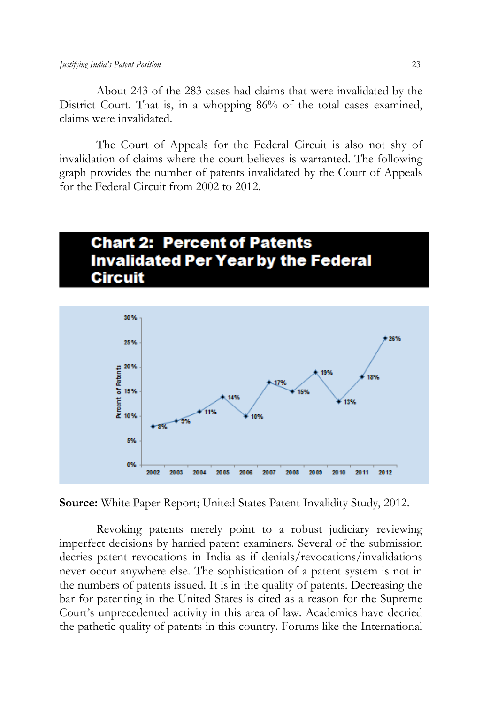About 243 of the 283 cases had claims that were invalidated by the District Court. That is, in a whopping 86% of the total cases examined, claims were invalidated.

 The Court of Appeals for the Federal Circuit is also not shy of invalidation of claims where the court believes is warranted. The following graph provides the number of patents invalidated by the Court of Appeals for the Federal Circuit from 2002 to 2012.

# **Chart 2: Percent of Patents Invalidated Per Year by the Federal Circuit**



**Source:** White Paper Report; United States Patent Invalidity Study, 2012.

 Revoking patents merely point to a robust judiciary reviewing imperfect decisions by harried patent examiners. Several of the submission decries patent revocations in India as if denials/revocations/invalidations never occur anywhere else. The sophistication of a patent system is not in the numbers of patents issued. It is in the quality of patents. Decreasing the bar for patenting in the United States is cited as a reason for the Supreme Court's unprecedented activity in this area of law. Academics have decried the pathetic quality of patents in this country. Forums like the International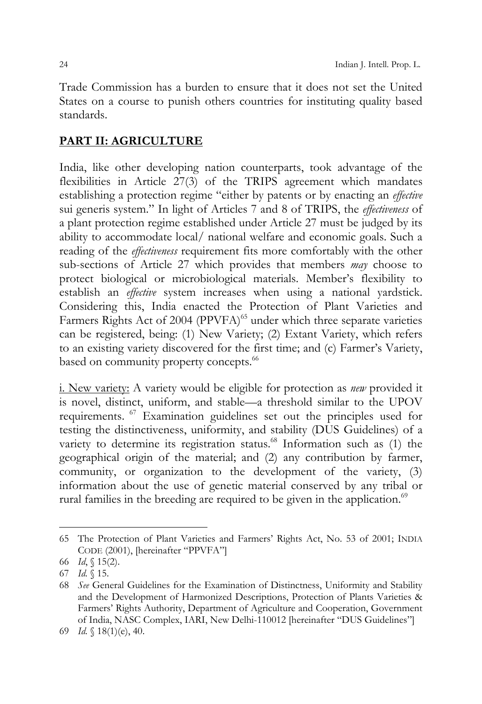Trade Commission has a burden to ensure that it does not set the United States on a course to punish others countries for instituting quality based standards.

# **PART II: AGRICULTURE**

India, like other developing nation counterparts, took advantage of the flexibilities in Article 27(3) of the TRIPS agreement which mandates establishing a protection regime "either by patents or by enacting an *effective* sui generis system." In light of Articles 7 and 8 of TRIPS, the *effectiveness* of a plant protection regime established under Article 27 must be judged by its ability to accommodate local/ national welfare and economic goals. Such a reading of the *effectiveness* requirement fits more comfortably with the other sub-sections of Article 27 which provides that members *may* choose to protect biological or microbiological materials. Member's flexibility to establish an *effective* system increases when using a national yardstick. Considering this, India enacted the Protection of Plant Varieties and Farmers Rights Act of 2004 (PPVFA)<sup>65</sup> under which three separate varieties can be registered, being: (1) New Variety; (2) Extant Variety, which refers to an existing variety discovered for the first time; and (c) Farmer's Variety, based on community property concepts.<sup>66</sup>

i. New variety: A variety would be eligible for protection as *new* provided it is novel, distinct, uniform, and stable—a threshold similar to the UPOV requirements. 67 Examination guidelines set out the principles used for testing the distinctiveness, uniformity, and stability (DUS Guidelines) of a variety to determine its registration status.<sup>68</sup> Information such as (1) the geographical origin of the material; and (2) any contribution by farmer, community, or organization to the development of the variety, (3) information about the use of genetic material conserved by any tribal or rural families in the breeding are required to be given in the application.<sup>69</sup>

<sup>65</sup> The Protection of Plant Varieties and Farmers' Rights Act, No. 53 of 2001; INDIA CODE (2001), [hereinafter "PPVFA"]

<sup>66</sup> *Id*, § 15(2).

<sup>67</sup> *Id.* § 15.

<sup>68</sup> *See* General Guidelines for the Examination of Distinctness, Uniformity and Stability and the Development of Harmonized Descriptions, Protection of Plants Varieties & Farmers' Rights Authority, Department of Agriculture and Cooperation, Government of India, NASC Complex, IARI, New Delhi-110012 [hereinafter "DUS Guidelines"]

<sup>69</sup> *Id.* § 18(1)(e), 40.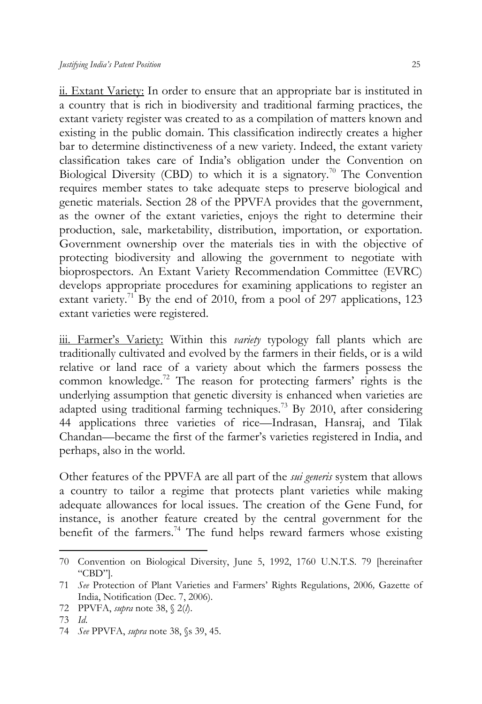ii. Extant Variety: In order to ensure that an appropriate bar is instituted in a country that is rich in biodiversity and traditional farming practices, the extant variety register was created to as a compilation of matters known and existing in the public domain. This classification indirectly creates a higher bar to determine distinctiveness of a new variety. Indeed, the extant variety classification takes care of India's obligation under the Convention on Biological Diversity (CBD) to which it is a signatory.<sup>70</sup> The Convention requires member states to take adequate steps to preserve biological and genetic materials. Section 28 of the PPVFA provides that the government, as the owner of the extant varieties, enjoys the right to determine their production, sale, marketability, distribution, importation, or exportation. Government ownership over the materials ties in with the objective of protecting biodiversity and allowing the government to negotiate with bioprospectors. An Extant Variety Recommendation Committee (EVRC) develops appropriate procedures for examining applications to register an extant variety.<sup>71</sup> By the end of 2010, from a pool of 297 applications, 123 extant varieties were registered.

iii. Farmer's Variety: Within this *variety* typology fall plants which are traditionally cultivated and evolved by the farmers in their fields, or is a wild relative or land race of a variety about which the farmers possess the common knowledge.<sup>72</sup> The reason for protecting farmers' rights is the underlying assumption that genetic diversity is enhanced when varieties are adapted using traditional farming techniques.<sup>73</sup> By 2010, after considering 44 applications three varieties of rice—Indrasan, Hansraj, and Tilak Chandan—became the first of the farmer's varieties registered in India, and perhaps, also in the world.

Other features of the PPVFA are all part of the *sui generis* system that allows a country to tailor a regime that protects plant varieties while making adequate allowances for local issues. The creation of the Gene Fund, for instance, is another feature created by the central government for the benefit of the farmers.<sup>74</sup> The fund helps reward farmers whose existing

<sup>70</sup> Convention on Biological Diversity, June 5, 1992, 1760 U.N.T.S. 79 [hereinafter "CBD"].

<sup>71</sup> *See* Protection of Plant Varieties and Farmers' Rights Regulations, 2006*,* Gazette of India, Notification (Dec. 7, 2006).

<sup>72</sup> PPVFA, *supra* note 38, § 2(*l*).

<sup>73</sup> *Id*.

<sup>74</sup> *See* PPVFA, *supra* note 38, §s 39, 45.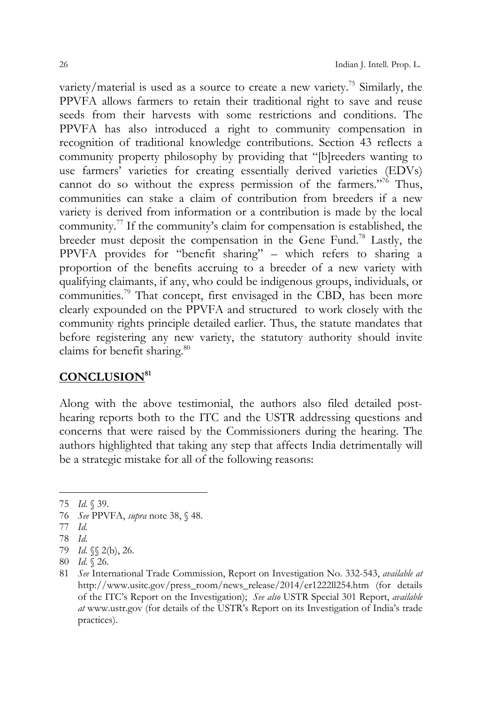variety/material is used as a source to create a new variety.<sup>75</sup> Similarly, the PPVFA allows farmers to retain their traditional right to save and reuse seeds from their harvests with some restrictions and conditions. The PPVFA has also introduced a right to community compensation in recognition of traditional knowledge contributions. Section 43 reflects a community property philosophy by providing that "[b]reeders wanting to use farmers' varieties for creating essentially derived varieties (EDVs) cannot do so without the express permission of the farmers."<sup>76</sup> Thus, communities can stake a claim of contribution from breeders if a new variety is derived from information or a contribution is made by the local community.77 If the community's claim for compensation is established, the breeder must deposit the compensation in the Gene Fund.78 Lastly, the PPVFA provides for "benefit sharing" – which refers to sharing a proportion of the benefits accruing to a breeder of a new variety with qualifying claimants, if any, who could be indigenous groups, individuals, or communities.<sup>79</sup> That concept, first envisaged in the CBD, has been more clearly expounded on the PPVFA and structured to work closely with the community rights principle detailed earlier. Thus, the statute mandates that before registering any new variety, the statutory authority should invite claims for benefit sharing.<sup>80</sup>

# **CONCLUSION81**

Along with the above testimonial, the authors also filed detailed posthearing reports both to the ITC and the USTR addressing questions and concerns that were raised by the Commissioners during the hearing. The authors highlighted that taking any step that affects India detrimentally will be a strategic mistake for all of the following reasons:

76 *See* PPVFA, *supra* note 38, § 48.

 $\overline{a}$ 

78 *Id.*

<sup>75</sup> *Id.* § 39.

<sup>77</sup> *Id.*

<sup>79</sup> *Id.* §§ 2(b), 26.

<sup>80</sup> *Id.* § 26.

<sup>81</sup> *See* International Trade Commission, Report on Investigation No. 332-543, *available at*  http://www.usitc.gov/press\_room/news\_release/2014/er1222ll254.htm (for details of the ITC's Report on the Investigation); *See also* USTR Special 301 Report, *available at* www.ustr.gov (for details of the USTR's Report on its Investigation of India's trade practices).